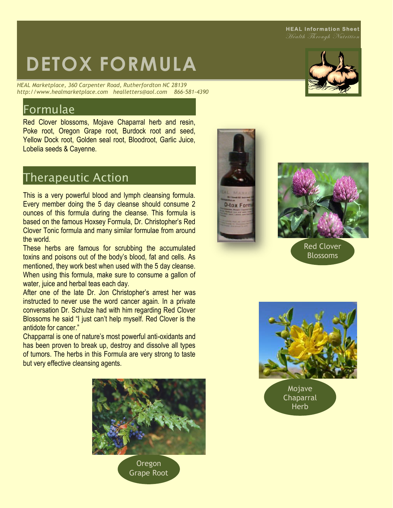#### **HEAL Information Sheet**

Health Through Nutrition

# **DETOX FORMULA**

*HEAL Marketplace, 360 Carpenter Road, Rutherfordton NC 28139 http://www.healmarketplace.com healletters@aol.com 866-581-4390*

#### Formulae

Red Clover blossoms, Mojave Chaparral herb and resin, Poke root, Oregon Grape root, Burdock root and seed, Yellow Dock root, Golden seal root, Bloodroot, Garlic Juice, Lobelia seeds & Cayenne.

## Therapeutic Action

This is a very powerful blood and lymph cleansing formula. Every member doing the 5 day cleanse should consume 2 ounces of this formula during the cleanse. This formula is based on the famous Hoxsey Formula, Dr. Christopher's Red Clover Tonic formula and many similar formulae from around the world.

These herbs are famous for scrubbing the accumulated toxins and poisons out of the body's blood, fat and cells. As mentioned, they work best when used with the 5 day cleanse. When using this formula, make sure to consume a gallon of water, juice and herbal teas each day.

After one of the late Dr. Jon Christopher's arrest her was instructed to never use the word cancer again. In a private conversation Dr. Schulze had with him regarding Red Clover Blossoms he said "I just can't help myself. Red Clover is the antidote for cancer"

Chapparral is one of nature's most powerful anti-oxidants and has been proven to break up, destroy and dissolve all types of tumors. The herbs in this Formula are very strong to taste but very effective cleansing agents.



**Oregon** Grape Root





Red Clover Blossoms